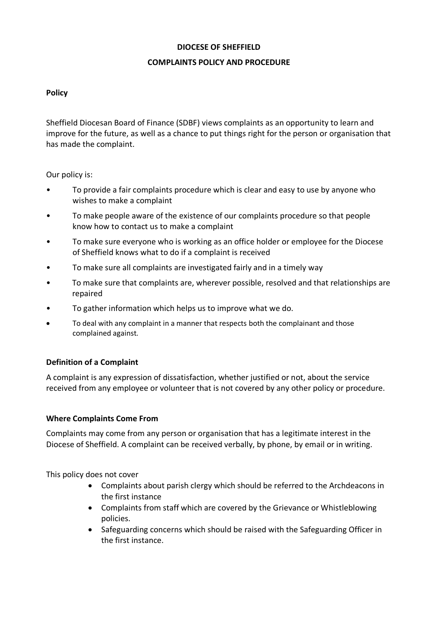#### **DIOCESE OF SHEFFIELD**

## **COMPLAINTS POLICY AND PROCEDURE**

# **Policy**

Sheffield Diocesan Board of Finance (SDBF) views complaints as an opportunity to learn and improve for the future, as well as a chance to put things right for the person or organisation that has made the complaint.

Our policy is:

- To provide a fair complaints procedure which is clear and easy to use by anyone who wishes to make a complaint
- To make people aware of the existence of our complaints procedure so that people know how to contact us to make a complaint
- To make sure everyone who is working as an office holder or employee for the Diocese of Sheffield knows what to do if a complaint is received
- To make sure all complaints are investigated fairly and in a timely way
- To make sure that complaints are, wherever possible, resolved and that relationships are repaired
- To gather information which helps us to improve what we do.
- To deal with any complaint in a manner that respects both the complainant and those complained against.

# **Definition of a Complaint**

A complaint is any expression of dissatisfaction, whether justified or not, about the service received from any employee or volunteer that is not covered by any other policy or procedure.

# **Where Complaints Come From**

Complaints may come from any person or organisation that has a legitimate interest in the Diocese of Sheffield. A complaint can be received verbally, by phone, by email or in writing.

This policy does not cover

- Complaints about parish clergy which should be referred to the Archdeacons in the first instance
- Complaints from staff which are covered by the Grievance or Whistleblowing policies.
- Safeguarding concerns which should be raised with the Safeguarding Officer in the first instance.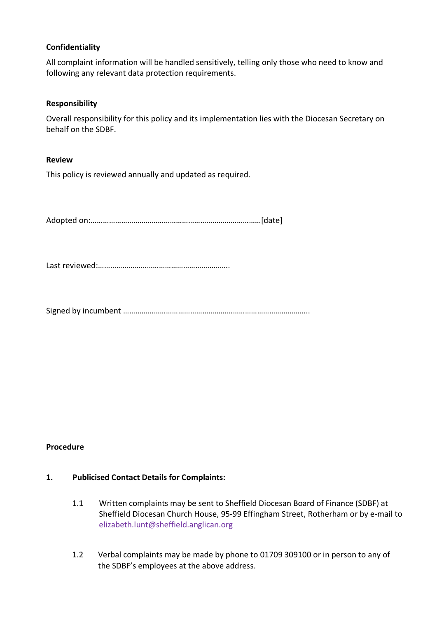## **Confidentiality**

All complaint information will be handled sensitively, telling only those who need to know and following any relevant data protection requirements.

#### **Responsibility**

Overall responsibility for this policy and its implementation lies with the Diocesan Secretary on behalf on the SDBF.

#### **Review**

This policy is reviewed annually and updated as required.

Adopted on:…………………………………………………………………………[date]

Last reviewed:………………………………………………………..

Signed by incumbent ………………………………………………………………………………..

# **Procedure**

#### **1. Publicised Contact Details for Complaints:**

- 1.1 Written complaints may be sent to Sheffield Diocesan Board of Finance (SDBF) at Sheffield Diocesan Church House, 95-99 Effingham Street, Rotherham or by e-mail to elizabeth.lunt@sheffield.anglican.org
- 1.2 Verbal complaints may be made by phone to 01709 309100 or in person to any of the SDBF's employees at the above address.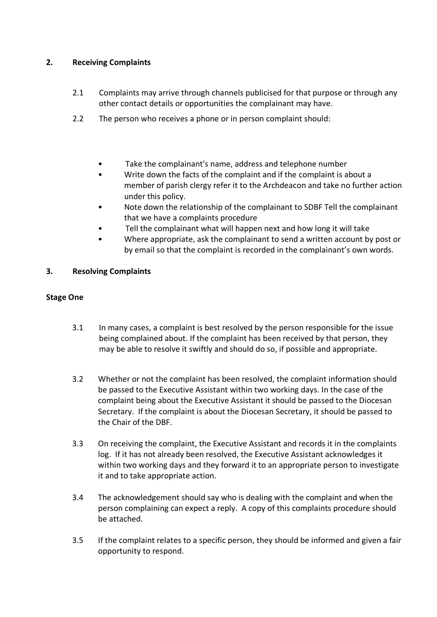# **2. Receiving Complaints**

- 2.1 Complaints may arrive through channels publicised for that purpose or through any other contact details or opportunities the complainant may have.
- 2.2 The person who receives a phone or in person complaint should:
	- Take the complainant's name, address and telephone number
	- Write down the facts of the complaint and if the complaint is about a member of parish clergy refer it to the Archdeacon and take no further action under this policy.
	- Note down the relationship of the complainant to SDBF Tell the complainant that we have a complaints procedure
	- Tell the complainant what will happen next and how long it will take
	- Where appropriate, ask the complainant to send a written account by post or by email so that the complaint is recorded in the complainant's own words.

## **3. Resolving Complaints**

## **Stage One**

- 3.1 In many cases, a complaint is best resolved by the person responsible for the issue being complained about. If the complaint has been received by that person, they may be able to resolve it swiftly and should do so, if possible and appropriate.
- 3.2 Whether or not the complaint has been resolved, the complaint information should be passed to the Executive Assistant within two working days. In the case of the complaint being about the Executive Assistant it should be passed to the Diocesan Secretary. If the complaint is about the Diocesan Secretary, it should be passed to the Chair of the DBF.
- 3.3 On receiving the complaint, the Executive Assistant and records it in the complaints log. If it has not already been resolved, the Executive Assistant acknowledges it within two working days and they forward it to an appropriate person to investigate it and to take appropriate action.
- 3.4 The acknowledgement should say who is dealing with the complaint and when the person complaining can expect a reply. A copy of this complaints procedure should be attached.
- 3.5 If the complaint relates to a specific person, they should be informed and given a fair opportunity to respond.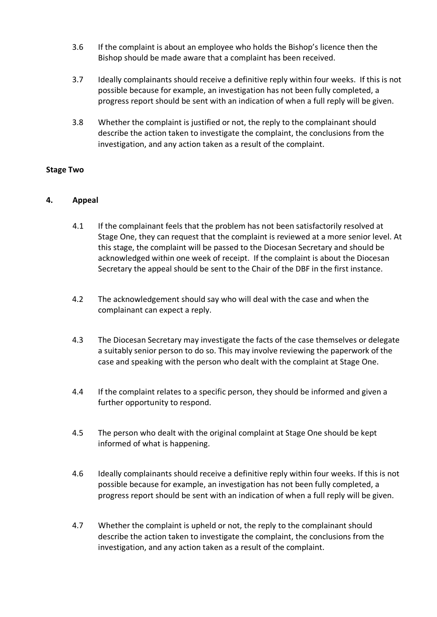- 3.6 If the complaint is about an employee who holds the Bishop's licence then the Bishop should be made aware that a complaint has been received.
- 3.7 Ideally complainants should receive a definitive reply within four weeks. If this is not possible because for example, an investigation has not been fully completed, a progress report should be sent with an indication of when a full reply will be given.
- 3.8 Whether the complaint is justified or not, the reply to the complainant should describe the action taken to investigate the complaint, the conclusions from the investigation, and any action taken as a result of the complaint.

## **Stage Two**

## **4. Appeal**

- 4.1 If the complainant feels that the problem has not been satisfactorily resolved at Stage One, they can request that the complaint is reviewed at a more senior level. At this stage, the complaint will be passed to the Diocesan Secretary and should be acknowledged within one week of receipt. If the complaint is about the Diocesan Secretary the appeal should be sent to the Chair of the DBF in the first instance.
- 4.2 The acknowledgement should say who will deal with the case and when the complainant can expect a reply.
- 4.3 The Diocesan Secretary may investigate the facts of the case themselves or delegate a suitably senior person to do so. This may involve reviewing the paperwork of the case and speaking with the person who dealt with the complaint at Stage One.
- 4.4 If the complaint relates to a specific person, they should be informed and given a further opportunity to respond.
- 4.5 The person who dealt with the original complaint at Stage One should be kept informed of what is happening.
- 4.6 Ideally complainants should receive a definitive reply within four weeks. If this is not possible because for example, an investigation has not been fully completed, a progress report should be sent with an indication of when a full reply will be given.
- 4.7 Whether the complaint is upheld or not, the reply to the complainant should describe the action taken to investigate the complaint, the conclusions from the investigation, and any action taken as a result of the complaint.